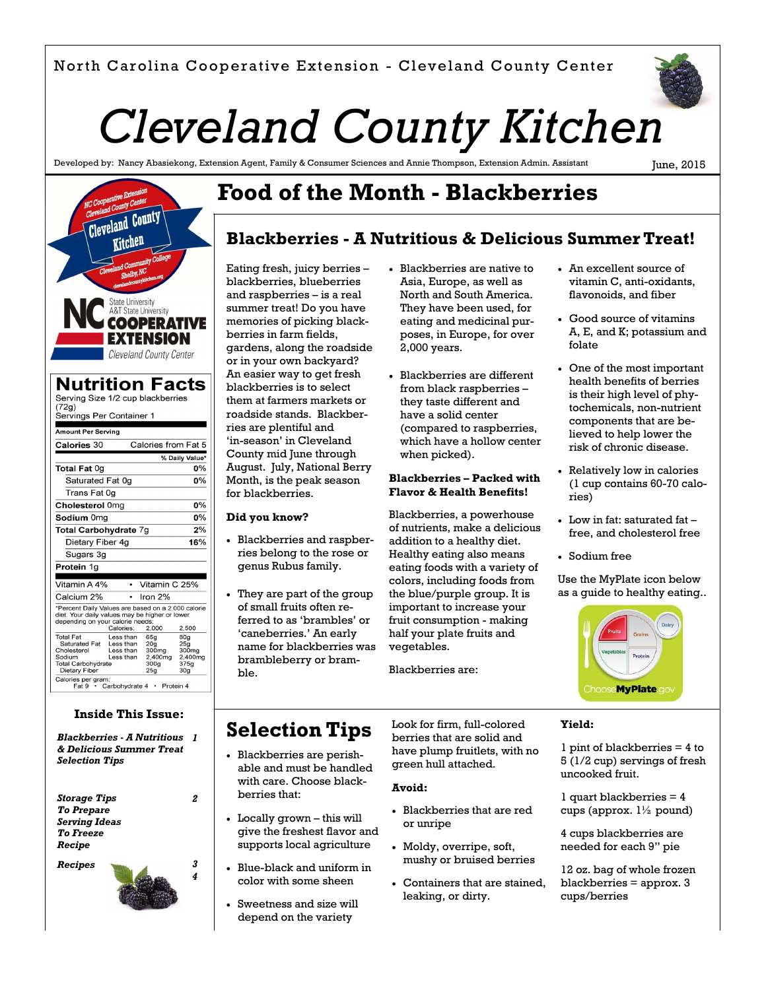

# *Cleveland County Kitchen*

Developed by: Nancy Abasiekong, Extension Agent, Family & Consumer Sciences and Annie Thompson, Extension Admin. Assistant

June, 2015



| *Percent Daily Values are based on a 2,000 calorie<br>diet. Your daily values may be higher or lower<br>depending on your calorie needs: |                  |                 |
|------------------------------------------------------------------------------------------------------------------------------------------|------------------|-----------------|
| Calories:                                                                                                                                | 2.000            | 2.500           |
| Less than                                                                                                                                | 65a              | 80a             |
| Saturated Fat<br>Less than                                                                                                               | 20 <sub>a</sub>  | 25a             |
| Less than                                                                                                                                | 300mg            | 300mg           |
| Less than                                                                                                                                | 2.400mg          | 2.400mg         |
| <b>Total Carbohydrate</b>                                                                                                                | 300 <sub>q</sub> | 375q            |
|                                                                                                                                          | 25a              | 30 <sub>q</sub> |
| Calories per gram:<br>Fat 9 · Carbohydrate 4 · Protein 4                                                                                 |                  |                 |
|                                                                                                                                          |                  | Iron 2%         |

### **Inside This Issue:**

*Blackberries - A Nutritious 1 & Delicious Summer Treat Selection Tips*

*Storage Tips To Prepare Serving Ideas To Freeze Recipe*



*2*

*4*

# **Food of the Month - Blackberries**

### **Blackberries - A Nutritious & Delicious Summer Treat!**

Eating fresh, juicy berries – blackberries, blueberries and raspberries – is a real summer treat! Do you have memories of picking blackberries in farm fields, gardens, along the roadside or in your own backyard? An easier way to get fresh blackberries is to select them at farmers markets or roadside stands. Blackberries are plentiful and 'in-season' in Cleveland County mid June through August. July, National Berry Month, is the peak season for blackberries.

### **Did you know?**

- Blackberries and raspberries belong to the rose or genus Rubus family.
- They are part of the group of small fruits often referred to as 'brambles' or 'caneberries.' An early name for blackberries was brambleberry or bramble.
- Blackberries are native to Asia, Europe, as well as North and South America. They have been used, for eating and medicinal purposes, in Europe, for over 2,000 years.
- Blackberries are different from black raspberries – they taste different and have a solid center (compared to raspberries, which have a hollow center when picked).

### **Blackberries – Packed with Flavor & Health Benefits!**

Blackberries, a powerhouse of nutrients, make a delicious addition to a healthy diet. Healthy eating also means eating foods with a variety of colors, including foods from the blue/purple group. It is important to increase your fruit consumption - making half your plate fruits and vegetables.

Blackberries are:

- An excellent source of vitamin C, anti-oxidants, flavonoids, and fiber
- Good source of vitamins A, E, and K; potassium and folate
- One of the most important health benefits of berries is their high level of phytochemicals, non-nutrient components that are believed to help lower the risk of chronic disease.
- Relatively low in calories (1 cup contains 60-70 calories)
- Low in fat: saturated fat free, and cholesterol free
- Sodium free

Use the MyPlate icon below as a guide to healthy eating..



### **Selection Tips**

- Blackberries are perishable and must be handled with care. Choose blackberries that:
- Locally grown this will give the freshest flavor and supports local agriculture
- Blue-black and uniform in color with some sheen
- Sweetness and size will depend on the variety

Look for firm, full-colored berries that are solid and have plump fruitlets, with no green hull attached.

### **Avoid:**

- Blackberries that are red or unripe
- Moldy, overripe, soft, mushy or bruised berries
- Containers that are stained, leaking, or dirty.

**Yield:**

1 pint of blackberries = 4 to 5 (1/2 cup) servings of fresh uncooked fruit.

1 quart blackberries = 4 cups (approx.  $1\frac{1}{2}$  pound)

4 cups blackberries are needed for each 9" pie

12 oz. bag of whole frozen blackberries = approx. 3 cups/berries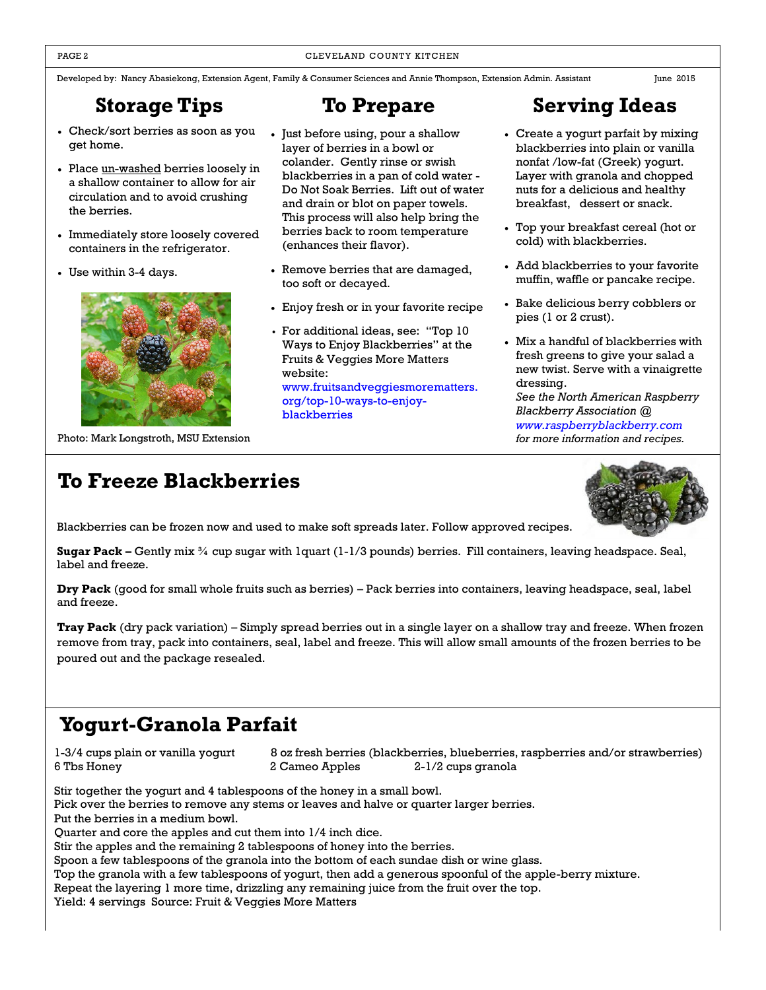### PAGE 2 CLEVELAND COUNTY KITCHEN

Developed by: Nancy Abasiekong, Extension Agent, Family & Consumer Sciences and Annie Thompson, Extension Admin. Assistant June 2015

# **Storage Tips**

- Check/sort berries as soon as you get home.
- Place un-washed berries loosely in a shallow container to allow for air circulation and to avoid crushing the berries.
- Immediately store loosely covered containers in the refrigerator.
- Use within 3-4 days.



Photo: Mark Longstroth, MSU Extension

- Just before using, pour a shallow layer of berries in a bowl or colander. Gently rinse or swish blackberries in a pan of cold water - Do Not Soak Berries. Lift out of water and drain or blot on paper towels. This process will also help bring the berries back to room temperature (enhances their flavor).
- Remove berries that are damaged, too soft or decayed.
- Enjoy fresh or in your favorite recipe
- For additional ideas, see: "Top 10 Ways to Enjoy Blackberries" at the Fruits & Veggies More Matters website: [www.fruitsandveggiesmorematters.](http://www.fruitsandveggiesmorematters.org/top-10-ways-to-enjoy-blackberries)  [org/top-10-ways-to-enjoy](http://www.fruitsandveggiesmorematters.org/top-10-ways-to-enjoy-blackberries)[blackberries](http://www.fruitsandveggiesmorematters.org/top-10-ways-to-enjoy-blackberries)

# **To Prepare Serving Ideas**

- Create a yogurt parfait by mixing blackberries into plain or vanilla nonfat /low-fat (Greek) yogurt. Layer with granola and chopped nuts for a delicious and healthy breakfast, dessert or snack.
- Top your breakfast cereal (hot or cold) with blackberries.
- Add blackberries to your favorite muffin, waffle or pancake recipe.
- Bake delicious berry cobblers or pies (1 or 2 crust).
- Mix a handful of blackberries with fresh greens to give your salad a new twist. Serve with a vinaigrette dressing.

*See the North American Raspberry Blackberry Association @ [www.raspberryblackberry.com](http://www.raspberryblackberry.com/) for more information and recipes.*

# **To Freeze Blackberries**

Blackberries can be frozen now and used to make soft spreads later. Follow approved recipes.

**Sugar Pack –** Gently mix ¾ cup sugar with 1quart (1-1/3 pounds) berries. Fill containers, leaving headspace. Seal, label and freeze.

**Dry Pack** (good for small whole fruits such as berries) – Pack berries into containers, leaving headspace, seal, label and freeze.

**Tray Pack** (dry pack variation) – Simply spread berries out in a single layer on a shallow tray and freeze. When frozen remove from tray, pack into containers, seal, label and freeze. This will allow small amounts of the frozen berries to be poured out and the package resealed.

# **Yogurt-Granola Parfait**

1-3/4 cups plain or vanilla yogurt 8 oz fresh berries (blackberries, blueberries, raspberries and/or strawberries) 6 Tbs Honey 2 Cameo Apples 2-1/2 cups granola

Stir together the yogurt and 4 tablespoons of the honey in a small bowl. Pick over the berries to remove any stems or leaves and halve or quarter larger berries. Put the berries in a medium bowl. Quarter and core the apples and cut them into 1/4 inch dice. Stir the apples and the remaining 2 tablespoons of honey into the berries. Spoon a few tablespoons of the granola into the bottom of each sundae dish or wine glass. Top the granola with a few tablespoons of yogurt, then add a generous spoonful of the apple-berry mixture. Repeat the layering 1 more time, drizzling any remaining juice from the fruit over the top.

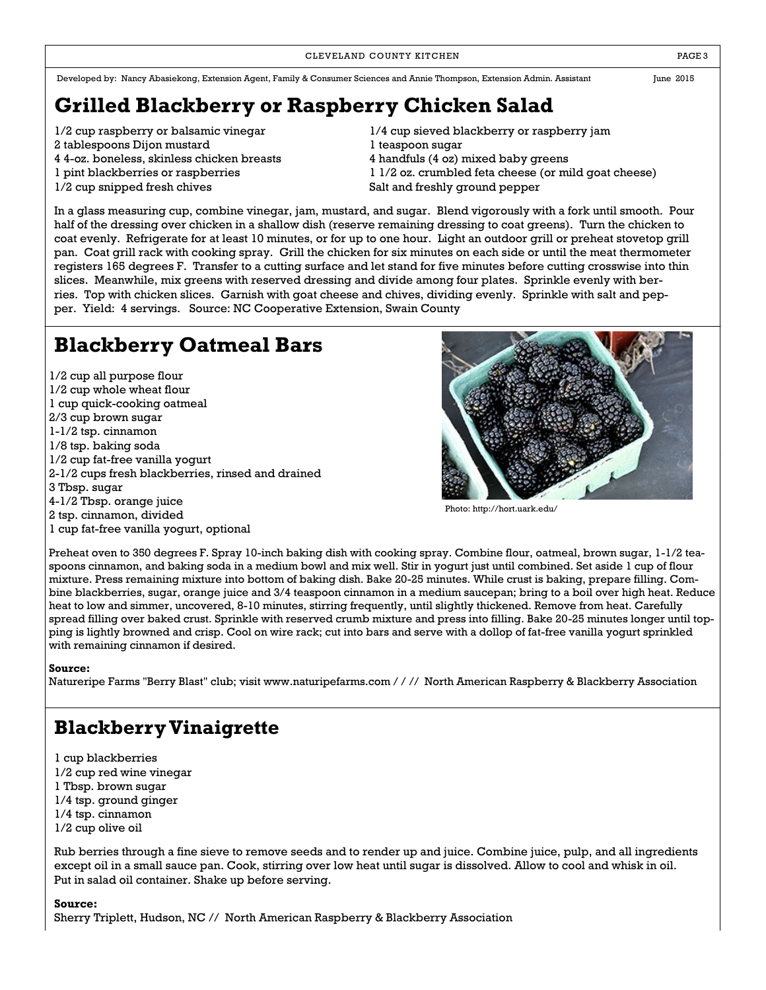CLEVELAND COUNTY KITCHEN **EXECUTE A RESISTENT COUNTY KITCHEN** 

Developed by: Nancy Abasiekong, Extension Agent, Family & Consumer Sciences and Annie Thompson, Extension Admin. Assistant June 2015

**Grilled Blackberry or Raspberry Chicken Salad**

- 
- 2 tablespoons Dijon mustard 1 teaspoon sugar
- 
- 
- 
- 1/2 cup raspberry or balsamic vinegar 1/4 cup sieved blackberry or raspberry jam 4 4-oz. boneless, skinless chicken breasts 4 handfuls (4 oz) mixed baby greens 1 pint blackberries or raspberries 1 1/2 oz. crumbled feta cheese (or mild goat cheese) 1/2 cup snipped fresh chives **Salt and freshly ground pepper**

In a glass measuring cup, combine vinegar, jam, mustard, and sugar. Blend vigorously with a fork until smooth. Pour half of the dressing over chicken in a shallow dish (reserve remaining dressing to coat greens). Turn the chicken to coat evenly. Refrigerate for at least 10 minutes, or for up to one hour. Light an outdoor grill or preheat stovetop grill pan. Coat grill rack with cooking spray. Grill the chicken for six minutes on each side or until the meat thermometer registers 165 degrees F. Transfer to a cutting surface and let stand for five minutes before cutting crosswise into thin slices. Meanwhile, mix greens with reserved dressing and divide among four plates. Sprinkle evenly with berries. Top with chicken slices. Garnish with goat cheese and chives, dividing evenly. Sprinkle with salt and pepper. Yield: 4 servings. Source: NC Cooperative Extension, Swain County

# **Blackberry Oatmeal Bars**

1/2 cup all purpose flour 1/2 cup whole wheat flour 1 cup quick-cooking oatmeal 2/3 cup brown sugar 1-1/2 tsp. cinnamon 1/8 tsp. baking soda 1/2 cup fat-free vanilla yogurt 2-1/2 cups fresh blackberries, rinsed and drained 3 Tbsp. sugar 4-1/2 Tbsp. orange juice 2 tsp. cinnamon, divided 1 cup fat-free vanilla yogurt, optional



Photo: http://hort.uark.edu/

Preheat oven to 350 degrees F. Spray 10-inch baking dish with cooking spray. Combine flour, oatmeal, brown sugar, 1-1/2 teaspoons cinnamon, and baking soda in a medium bowl and mix well. Stir in yogurt just until combined. Set aside 1 cup of flour mixture. Press remaining mixture into bottom of baking dish. Bake 20-25 minutes. While crust is baking, prepare filling. Combine blackberries, sugar, orange juice and 3/4 teaspoon cinnamon in a medium saucepan; bring to a boil over high heat. Reduce heat to low and simmer, uncovered, 8-10 minutes, stirring frequently, until slightly thickened. Remove from heat. Carefully spread filling over baked crust. Sprinkle with reserved crumb mixture and press into filling. Bake 20-25 minutes longer until topping is lightly browned and crisp. Cool on wire rack; cut into bars and serve with a dollop of fat-free vanilla yogurt sprinkled with remaining cinnamon if desired.

### **Source:**

Natureripe Farms "Berry Blast" club; visit www.naturipefarms.com / / // North American Raspberry & Blackberry Association

### **Blackberry Vinaigrette**

1 cup blackberries 1/2 cup red wine vinegar 1 Tbsp. brown sugar 1/4 tsp. ground ginger 1/4 tsp. cinnamon 1/2 cup olive oil

Rub berries through a fine sieve to remove seeds and to render up and juice. Combine juice, pulp, and all ingredients except oil in a small sauce pan. Cook, stirring over low heat until sugar is dissolved. Allow to cool and whisk in oil. Put in salad oil container. Shake up before serving.

### **Source:**

Sherry Triplett, Hudson, NC // North American Raspberry & Blackberry Association